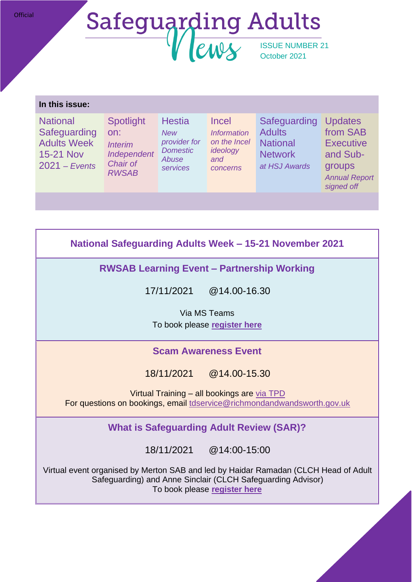## Safeguarding Adults October 2021

#### **In this issue:**

**National Safeguarding** Adults Week 15-21 Nov 2021 – *Events*

**Spotlight** on: *Interim Independent Domestic Chair of RWSAB*

**Hestia** *New provider for Abuse services and* 

Incel *Information on the Incel ideology concerns*

Safeguarding Updates **Adults National** Network *at HSJ Awards*

from SAB **Executive** and Subgroups *Annual Report signed off*

**National Safeguarding Adults Week – 15-21 November 2021**

**RWSAB Learning Event – Partnership Working**

17/11/2021 @14.00-16.30

Via MS Teams To book please **[register here](https://www.eventbrite.co.uk/e/rwsab-merton-sab-learning-event-partnership-working-tickets-194454808567)**

## **Scam Awareness Event**

18/11/2021 @14.00-15.30

Virtual Training – all bookings are [via TPD](https://adultsocialcare.tpd.org.uk/courses/bookings/c_detail.asp?cid=14290&iscancelled=0&curpage=&keyword=&ds=&unconfirmed=&cs=&subid=&keystage=0&sdate=&searchcode=&asearch=&tutid=&estid=&sday=&smonth=&syear=&targetid=&cal=1&calday=18&calmonth=11&calyear=2021&caldate=&submonth=&subyear=&list=&palist=&frompage=&a=&b=&c=&d=&s_leaid=) For questions on bookings, email [tdservice@richmondandwandsworth.gov.uk](mailto:tdservice@richmondandwandsworth.gov.uk)

**What is Safeguarding Adult Review (SAR)?**

18/11/2021 @14:00-15:00

Virtual event organised by Merton SAB and led by Haidar Ramadan (CLCH Head of Adult Safeguarding) and Anne Sinclair (CLCH Safeguarding Advisor) To book please **[register here](https://www.eventbrite.co.uk/e/day-4-adult-safeguarding-week-what-is-safeguarding-adult-review-sar-tickets-195519944417)**

**Official**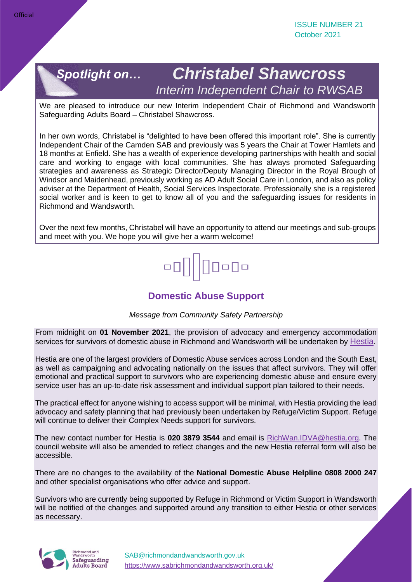

## *Christabel Shawcross Interim Independent Chair to RWSAB*

We are pleased to introduce our new Interim Independent Chair of Richmond and Wandsworth Safeguarding Adults Board – Christabel Shawcross.

In her own words, Christabel is "delighted to have been offered this important role". She is currently Independent Chair of the Camden SAB and previously was 5 years the Chair at Tower Hamlets and 18 months at Enfield. She has a wealth of experience developing partnerships with health and social care and working to engage with local communities. She has always promoted Safeguarding strategies and awareness as Strategic Director/Deputy Managing Director in the Royal Brough of Windsor and Maidenhead, previously working as AD Adult Social Care in London, and also as policy adviser at the Department of Health, Social Services Inspectorate. Professionally she is a registered social worker and is keen to get to know all of you and the safeguarding issues for residents in Richmond and Wandsworth.

Over the next few months, Christabel will have an opportunity to attend our meetings and sub-groups and meet with you. We hope you will give her a warm welcome!

# $\Box$ o $\Box$ o

## **Domestic Abuse Support**

*Message from Community Safety Partnership*

From midnight on **01 November 2021**, the provision of advocacy and emergency accommodation services for survivors of domestic abuse in Richmond and Wandsworth will be undertaken by [Hestia](http://www.hestia.org/).

Hestia are one of the largest providers of Domestic Abuse services across London and the South East, as well as campaigning and advocating nationally on the issues that affect survivors. They will offer emotional and practical support to survivors who are experiencing domestic abuse and ensure every service user has an up-to-date risk assessment and individual support plan tailored to their needs.

The practical effect for anyone wishing to access support will be minimal, with Hestia providing the lead advocacy and safety planning that had previously been undertaken by Refuge/Victim Support. Refuge will continue to deliver their Complex Needs support for survivors.

The new contact number for Hestia is **020 3879 3544** and email is [RichWan.IDVA@hestia.org.](mailto:RichWan.IDVA@hestia.org) The council website will also be amended to reflect changes and the new Hestia referral form will also be accessible.

There are no changes to the availability of the **National Domestic Abuse Helpline 0808 2000 247** and other specialist organisations who offer advice and support.

Survivors who are currently being supported by Refuge in Richmond or Victim Support in Wandsworth will be notified of the changes and supported around any transition to either Hestia or other services as necessary.

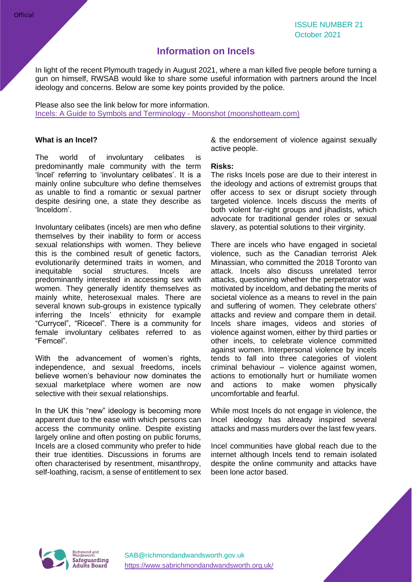### **Information on Incels**

In light of the recent Plymouth tragedy in August 2021, where a man killed five people before turning a gun on himself, RWSAB would like to share some useful information with partners around the Incel ideology and concerns. Below are some key points provided by the police.

Please also see the link below for more information. [Incels: A Guide to Symbols and Terminology](https://eur01.safelinks.protection.outlook.com/?url=https%3A%2F%2Fmoonshotteam.com%2Fincels-symbols-and-terminology%2F&data=04%7C01%7CVirindar.Basi%40richmondandwandsworth.gov.uk%7C547439c39c754ebb135308d963ddcaeb%7Cd9d3f5acf80349be949f14a7074d74a7%7C0%7C0%7C637650626781423896%7CUnknown%7CTWFpbGZsb3d8eyJWIjoiMC4wLjAwMDAiLCJQIjoiV2luMzIiLCJBTiI6Ik1haWwiLCJXVCI6Mn0%3D%7C1000&sdata=ZA8JisHYhO9VyLS2MzSw%2F%2FR8AMvxUH1aydHAa6s7eDo%3D&reserved=0) - Moonshot (moonshotteam.com)

#### **What is an Incel?**

The world of involuntary celibates is predominantly male community with the term 'Incel' referring to 'involuntary celibates'. It is a mainly online subculture who define themselves as unable to find a romantic or sexual partner despite desiring one, a state they describe as 'Inceldom'.

Involuntary celibates (incels) are men who define themselves by their inability to form or access sexual relationships with women. They believe this is the combined result of genetic factors, evolutionarily determined traits in women, and inequitable social structures. Incels are predominantly interested in accessing sex with women. They generally identify themselves as mainly white, heterosexual males. There are several known sub-groups in existence typically inferring the Incels' ethnicity for example "Currycel", "Ricecel". There is a community for female involuntary celibates referred to as "Femcel".

With the advancement of women's rights, independence, and sexual freedoms, incels believe women's behaviour now dominates the sexual marketplace where women are now selective with their sexual relationships.

In the UK this "new" ideology is becoming more apparent due to the ease with which persons can access the community online. Despite existing largely online and often posting on public forums, Incels are a closed community who prefer to hide their true identities. Discussions in forums are often characterised by resentment, misanthropy, self-loathing, racism, a sense of entitlement to sex & the endorsement of violence against sexually active people.

#### **Risks:**

The risks Incels pose are due to their interest in the ideology and actions of extremist groups that offer access to sex or disrupt society through targeted violence. Incels discuss the merits of both violent far-right groups and jihadists, which advocate for traditional gender roles or sexual slavery, as potential solutions to their virginity.

There are incels who have engaged in societal violence, such as the Canadian terrorist Alek Minassian, who committed the 2018 Toronto van attack. Incels also discuss unrelated terror attacks, questioning whether the perpetrator was motivated by inceldom, and debating the merits of societal violence as a means to revel in the pain and suffering of women. They celebrate others' attacks and review and compare them in detail. Incels share images, videos and stories of violence against women, either by third parties or other incels, to celebrate violence committed against women. Interpersonal violence by incels tends to fall into three categories of violent criminal behaviour – violence against women, actions to emotionally hurt or humiliate women and actions to make women physically uncomfortable and fearful.

While most Incels do not engage in violence, the Incel ideology has already inspired several attacks and mass murders over the last few years.

Incel communities have global reach due to the internet although Incels tend to remain isolated despite the online community and attacks have been lone actor based.



[SAB@richmondandwandsworth.gov.uk](mailto:SAB@richmondandwandsworth.gov.uk) <https://www.sabrichmondandwandsworth.org.uk/>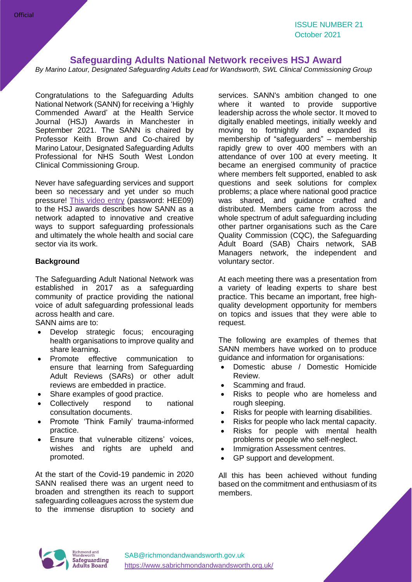#### **Safeguarding Adults National Network receives HSJ Award**

*By Marino Latour, Designated Safeguarding Adults Lead for Wandsworth, SWL Clinical Commissioning Group*

Congratulations to the Safeguarding Adults National Network (SANN) for receiving a 'Highly Commended Award' at the Health Service Journal (HSJ) Awards in Manchester in September 2021. The SANN is chaired by Professor Keith Brown and Co-chaired by Marino Latour, Designated Safeguarding Adults Professional for NHS South West London Clinical Commissioning Group.

Never have safeguarding services and support been so necessary and yet under so much pressure! [This video entry](https://vimeo.com/580198265) (password: HEE09) to the HSJ awards describes how SANN as a network adapted to innovative and creative ways to support safeguarding professionals and ultimately the whole health and social care sector via its work.

#### **Background**

The Safeguarding Adult National Network was established in 2017 as a safeguarding community of practice providing the national voice of adult safeguarding professional leads across health and care.

SANN aims are to:

- Develop strategic focus; encouraging health organisations to improve quality and share learning.
- Promote effective communication to ensure that learning from Safeguarding Adult Reviews (SARs) or other adult reviews are embedded in practice.
- Share examples of good practice.
- Collectively respond to national consultation documents.
- Promote 'Think Family' trauma-informed practice.
- Ensure that vulnerable citizens' voices, wishes and rights are upheld and promoted.

At the start of the Covid-19 pandemic in 2020 SANN realised there was an urgent need to broaden and strengthen its reach to support safeguarding colleagues across the system due to the immense disruption to society and

services. SANN's ambition changed to one where it wanted to provide supportive leadership across the whole sector. It moved to digitally enabled meetings, initially weekly and moving to fortnightly and expanded its membership of "safeguarders" – membership rapidly grew to over 400 members with an attendance of over 100 at every meeting. It became an energised community of practice where members felt supported, enabled to ask questions and seek solutions for complex problems; a place where national good practice was shared, and guidance crafted and distributed. Members came from across the whole spectrum of adult safeguarding including other partner organisations such as the Care Quality Commission (CQC), the Safeguarding Adult Board (SAB) Chairs network, SAB Managers network, the independent and voluntary sector.

At each meeting there was a presentation from a variety of leading experts to share best practice. This became an important, free highquality development opportunity for members on topics and issues that they were able to request.

The following are examples of themes that SANN members have worked on to produce guidance and information for organisations:

- Domestic abuse / Domestic Homicide Review.
- Scamming and fraud.
- Risks to people who are homeless and rough sleeping.
- Risks for people with learning disabilities.
- Risks for people who lack mental capacity.
- Risks for people with mental health problems or people who self-neglect.
- Immigration Assessment centres.
- GP support and development.

All this has been achieved without funding based on the commitment and enthusiasm of its members.